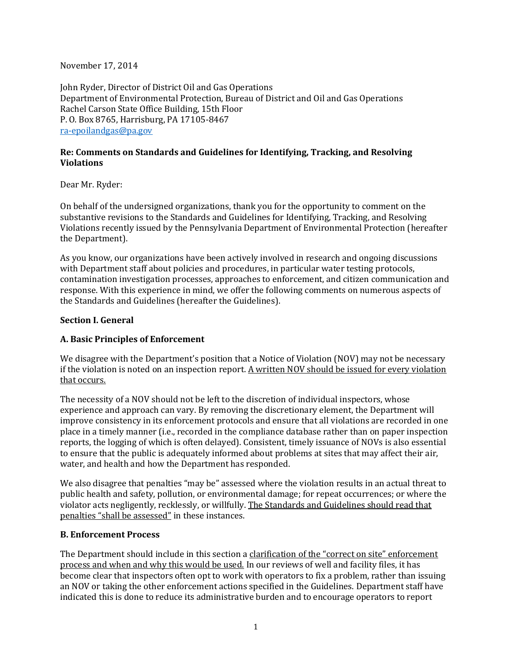November 17, 2014

John Ryder, Director of District Oil and Gas Operations Department of Environmental Protection, Bureau of District and Oil and Gas Operations Rachel Carson State Office Building, 15th Floor P. O. Box 8765, Harrisburg, PA 17105-8467 [ra-epoilandgas@pa.gov](mailto:ra-epoilandgas@pa.gov)

#### **Re: Comments on Standards and Guidelines for Identifying, Tracking, and Resolving Violations**

Dear Mr. Ryder:

On behalf of the undersigned organizations, thank you for the opportunity to comment on the substantive revisions to the Standards and Guidelines for Identifying, Tracking, and Resolving Violations recently issued by the Pennsylvania Department of Environmental Protection (hereafter the Department).

As you know, our organizations have been actively involved in research and ongoing discussions with Department staff about policies and procedures, in particular water testing protocols, contamination investigation processes, approaches to enforcement, and citizen communication and response. With this experience in mind, we offer the following comments on numerous aspects of the Standards and Guidelines (hereafter the Guidelines).

#### **Section I. General**

#### **A. Basic Principles of Enforcement**

We disagree with the Department's position that a Notice of Violation (NOV) may not be necessary if the violation is noted on an inspection report. A written NOV should be issued for every violation that occurs.

The necessity of a NOV should not be left to the discretion of individual inspectors, whose experience and approach can vary. By removing the discretionary element, the Department will improve consistency in its enforcement protocols and ensure that all violations are recorded in one place in a timely manner (i.e., recorded in the compliance database rather than on paper inspection reports, the logging of which is often delayed). Consistent, timely issuance of NOVs is also essential to ensure that the public is adequately informed about problems at sites that may affect their air, water, and health and how the Department has responded.

We also disagree that penalties "may be" assessed where the violation results in an actual threat to public health and safety, pollution, or environmental damage; for repeat occurrences; or where the violator acts negligently, recklessly, or willfully. The Standards and Guidelines should read that penalties "shall be assessed" in these instances.

#### **B. Enforcement Process**

The Department should include in this section a clarification of the "correct on site" enforcement process and when and why this would be used. In our reviews of well and facility files, it has become clear that inspectors often opt to work with operators to fix a problem, rather than issuing an NOV or taking the other enforcement actions specified in the Guidelines. Department staff have indicated this is done to reduce its administrative burden and to encourage operators to report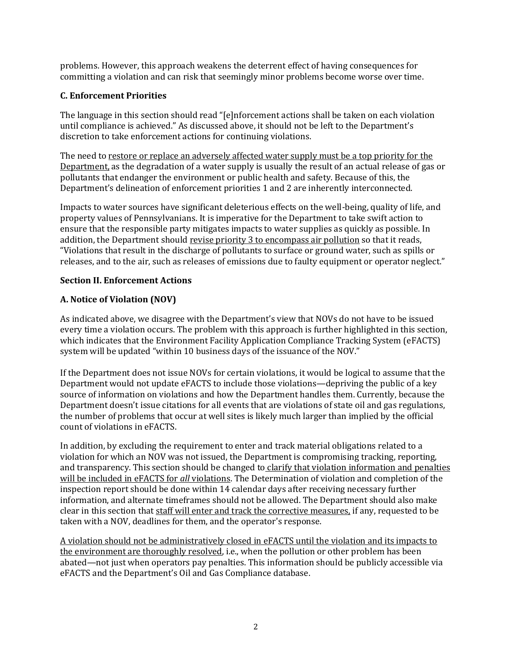problems. However, this approach weakens the deterrent effect of having consequences for committing a violation and can risk that seemingly minor problems become worse over time.

#### **C. Enforcement Priorities**

The language in this section should read "[e]nforcement actions shall be taken on each violation until compliance is achieved." As discussed above, it should not be left to the Department's discretion to take enforcement actions for continuing violations.

The need to <u>restore or replace an adversely affected water supply must be a top priority for the</u> Department, as the degradation of a water supply is usually the result of an actual release of gas or pollutants that endanger the environment or public health and safety. Because of this, the Department's delineation of enforcement priorities 1 and 2 are inherently interconnected.

Impacts to water sources have significant deleterious effects on the well-being, quality of life, and property values of Pennsylvanians. It is imperative for the Department to take swift action to ensure that the responsible party mitigates impacts to water supplies as quickly as possible. In addition, the Department should revise priority 3 to encompass air pollution so that it reads, "Violations that result in the discharge of pollutants to surface or ground water, such as spills or releases, and to the air, such as releases of emissions due to faulty equipment or operator neglect."

### **Section II. Enforcement Actions**

### **A. Notice of Violation (NOV)**

As indicated above, we disagree with the Department's view that NOVs do not have to be issued every time a violation occurs. The problem with this approach is further highlighted in this section, which indicates that the Environment Facility Application Compliance Tracking System (eFACTS) system will be updated "within 10 business days of the issuance of the NOV."

If the Department does not issue NOVs for certain violations, it would be logical to assume that the Department would not update eFACTS to include those violations—depriving the public of a key source of information on violations and how the Department handles them. Currently, because the Department doesn't issue citations for all events that are violations of state oil and gas regulations, the number of problems that occur at well sites is likely much larger than implied by the official count of violations in eFACTS.

In addition, by excluding the requirement to enter and track material obligations related to a violation for which an NOV was not issued, the Department is compromising tracking, reporting, and transparency. This section should be changed to clarify that violation information and penalties will be included in eFACTS for *all* violations. The Determination of violation and completion of the inspection report should be done within 14 calendar days after receiving necessary further information, and alternate timeframes should not be allowed. The Department should also make clear in this section that staff will enter and track the corrective measures, if any, requested to be taken with a NOV, deadlines for them, and the operator's response.

A violation should not be administratively closed in eFACTS until the violation and its impacts to the environment are thoroughly resolved, i.e., when the pollution or other problem has been abated—not just when operators pay penalties. This information should be publicly accessible via eFACTS and the Department's Oil and Gas Compliance database.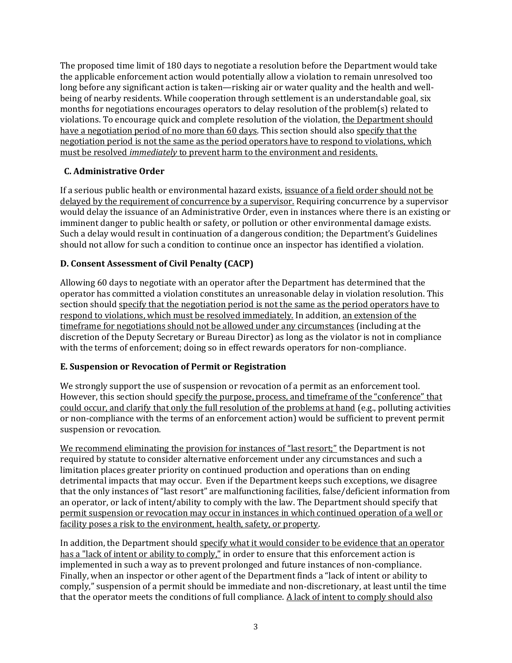The proposed time limit of 180 days to negotiate a resolution before the Department would take the applicable enforcement action would potentially allow a violation to remain unresolved too long before any significant action is taken—risking air or water quality and the health and wellbeing of nearby residents. While cooperation through settlement is an understandable goal, six months for negotiations encourages operators to delay resolution of the problem(s) related to violations. To encourage quick and complete resolution of the violation, the Department should have a negotiation period of no more than 60 days. This section should also specify that the negotiation period is not the same as the period operators have to respond to violations, which must be resolved *immediately* to prevent harm to the environment and residents.

## **C. Administrative Order**

If a serious public health or environmental hazard exists, issuance of a field order should not be delayed by the requirement of concurrence by a supervisor. Requiring concurrence by a supervisor would delay the issuance of an Administrative Order, even in instances where there is an existing or imminent danger to public health or safety, or pollution or other environmental damage exists. Such a delay would result in continuation of a dangerous condition; the Department's Guidelines should not allow for such a condition to continue once an inspector has identified a violation.

## **D. Consent Assessment of Civil Penalty (CACP)**

Allowing 60 days to negotiate with an operator after the Department has determined that the operator has committed a violation constitutes an unreasonable delay in violation resolution. This section should specify that the negotiation period is not the same as the period operators have to respond to violations, which must be resolved immediately. In addition, an extension of the timeframe for negotiations should not be allowed under any circumstances (including at the discretion of the Deputy Secretary or Bureau Director) as long as the violator is not in compliance with the terms of enforcement; doing so in effect rewards operators for non-compliance.

## **E. Suspension or Revocation of Permit or Registration**

We strongly support the use of suspension or revocation of a permit as an enforcement tool. However, this section should specify the purpose, process, and timeframe of the "conference" that could occur, and clarify that only the full resolution of the problems at hand (e.g., polluting activities or non-compliance with the terms of an enforcement action) would be sufficient to prevent permit suspension or revocation.

We recommend eliminating the provision for instances of "last resort;" the Department is not required by statute to consider alternative enforcement under any circumstances and such a limitation places greater priority on continued production and operations than on ending detrimental impacts that may occur. Even if the Department keeps such exceptions, we disagree that the only instances of "last resort" are malfunctioning facilities, false/deficient information from an operator, or lack of intent/ability to comply with the law. The Department should specify that permit suspension or revocation may occur in instances in which continued operation of a well or facility poses a risk to the environment, health, safety, or property.

In addition, the Department should specify what it would consider to be evidence that an operator has a "lack of intent or ability to comply," in order to ensure that this enforcement action is implemented in such a way as to prevent prolonged and future instances of non-compliance. Finally, when an inspector or other agent of the Department finds a "lack of intent or ability to comply," suspension of a permit should be immediate and non-discretionary, at least until the time that the operator meets the conditions of full compliance. A lack of intent to comply should also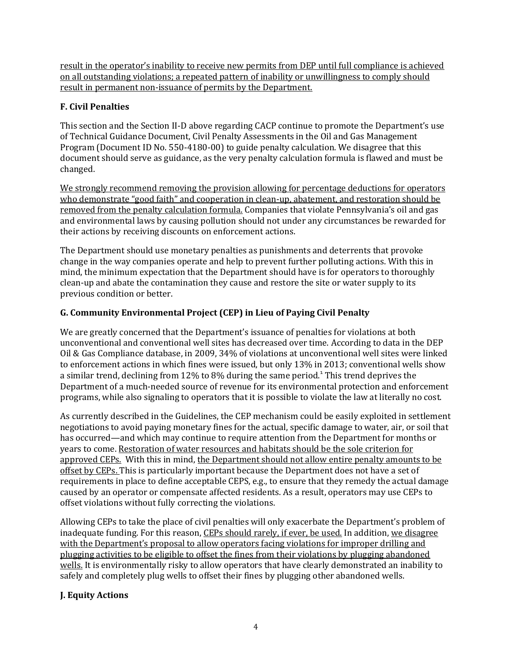result in the operator's inability to receive new permits from DEP until full compliance is achieved on all outstanding violations; a repeated pattern of inability or unwillingness to comply should result in permanent non-issuance of permits by the Department.

# **F. Civil Penalties**

This section and the Section II-D above regarding CACP continue to promote the Department's use of Technical Guidance Document, Civil Penalty Assessments in the Oil and Gas Management Program (Document ID No. 550-4180-00) to guide penalty calculation. We disagree that this document should serve as guidance, as the very penalty calculation formula is flawed and must be changed.

We strongly recommend removing the provision allowing for percentage deductions for operators who demonstrate "good faith" and cooperation in clean-up, abatement, and restoration should be removed from the penalty calculation formula. Companies that violate Pennsylvania's oil and gas and environmental laws by causing pollution should not under any circumstances be rewarded for their actions by receiving discounts on enforcement actions.

The Department should use monetary penalties as punishments and deterrents that provoke change in the way companies operate and help to prevent further polluting actions. With this in mind, the minimum expectation that the Department should have is for operators to thoroughly clean-up and abate the contamination they cause and restore the site or water supply to its previous condition or better.

# **G. Community Environmental Project (CEP) in Lieu of Paying Civil Penalty**

We are greatly concerned that the Department's issuance of penalties for violations at both unconventional and conventional well sites has decreased over time. According to data in the DEP Oil & Gas Compliance database, in 2009, 34% of violations at unconventional well sites were linked to enforcement actions in which fines were issued, but only 13% in 2013; conventional wells show a similar trend, declining from 12% to 8% during the same period.<sup>1</sup> This trend deprives the Department of a much-needed source of revenue for its environmental protection and enforcement programs, while also signaling to operators that it is possible to violate the law at literally no cost.

As currently described in the Guidelines, the CEP mechanism could be easily exploited in settlement negotiations to avoid paying monetary fines for the actual, specific damage to water, air, or soil that has occurred—and which may continue to require attention from the Department for months or years to come. Restoration of water resources and habitats should be the sole criterion for approved CEPs. With this in mind, the Department should not allow entire penalty amounts to be offset by CEPs. This is particularly important because the Department does not have a set of requirements in place to define acceptable CEPS, e.g., to ensure that they remedy the actual damage caused by an operator or compensate affected residents. As a result, operators may use CEPs to offset violations without fully correcting the violations.

Allowing CEPs to take the place of civil penalties will only exacerbate the Department's problem of inadequate funding. For this reason, CEPs should rarely, if ever, be used. In addition, we disagree with the Department's proposal to allow operators facing violations for improper drilling and plugging activities to be eligible to offset the fines from their violations by plugging abandoned wells. It is environmentally risky to allow operators that have clearly demonstrated an inability to safely and completely plug wells to offset their fines by plugging other abandoned wells.

## **J. Equity Actions**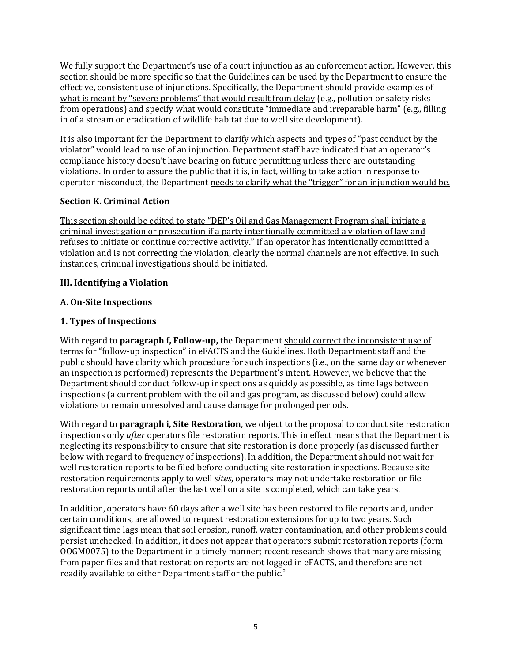We fully support the Department's use of a court injunction as an enforcement action. However, this section should be more specific so that the Guidelines can be used by the Department to ensure the effective, consistent use of injunctions. Specifically, the Department should provide examples of what is meant by "severe problems" that would result from delay (e.g., pollution or safety risks from operations) and specify what would constitute "immediate and irreparable harm" (e.g., filling in of a stream or eradication of wildlife habitat due to well site development).

It is also important for the Department to clarify which aspects and types of "past conduct by the violator" would lead to use of an injunction. Department staff have indicated that an operator's compliance history doesn't have bearing on future permitting unless there are outstanding violations. In order to assure the public that it is, in fact, willing to take action in response to operator misconduct, the Department needs to clarify what the "trigger" for an injunction would be.

### **Section K. Criminal Action**

This section should be edited to state "DEP's Oil and Gas Management Program shall initiate a criminal investigation or prosecution if a party intentionally committed a violation of law and refuses to initiate or continue corrective activity." If an operator has intentionally committed a violation and is not correcting the violation, clearly the normal channels are not effective. In such instances, criminal investigations should be initiated.

### **III. Identifying a Violation**

### **A. On-Site Inspections**

## **1. Types of Inspections**

With regard to **paragraph f, Follow-up,** the Department should correct the inconsistent use of terms for "follow-up inspection" in eFACTS and the Guidelines. Both Department staff and the public should have clarity which procedure for such inspections (i.e., on the same day or whenever an inspection is performed) represents the Department's intent. However, we believe that the Department should conduct follow-up inspections as quickly as possible, as time lags between inspections (a current problem with the oil and gas program, as discussed below) could allow violations to remain unresolved and cause damage for prolonged periods.

With regard to **paragraph i, Site Restoration**, we object to the proposal to conduct site restoration inspections only *after* operators file restoration reports. This in effect means that the Department is neglecting its responsibility to ensure that site restoration is done properly (as discussed further below with regard to frequency of inspections). In addition, the Department should not wait for well restoration reports to be filed before conducting site restoration inspections. Because site restoration requirements apply to well *sites*, operators may not undertake restoration or file restoration reports until after the last well on a site is completed, which can take years.

In addition, operators have 60 days after a well site has been restored to file reports and, under certain conditions, are allowed to request restoration extensions for up to two years. Such significant time lags mean that soil erosion, runoff, water contamination, and other problems could persist unchecked. In addition, it does not appear that operators submit restoration reports (form OOGM0075) to the Department in a timely manner; recent research shows that many are missing from paper files and that restoration reports are not logged in eFACTS, and therefore are not readily available to either Department staff or the public.<sup>2</sup>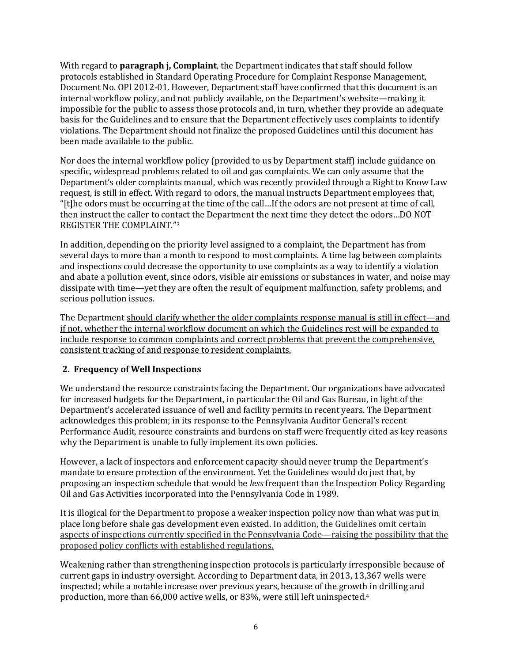With regard to **paragraph j, Complaint**, the Department indicates that staff should follow protocols established in Standard Operating Procedure for Complaint Response Management, Document No. OPI 2012-01. However, Department staff have confirmed that this document is an internal workflow policy, and not publicly available, on the Department's website—making it impossible for the public to assess those protocols and, in turn, whether they provide an adequate basis for the Guidelines and to ensure that the Department effectively uses complaints to identify violations. The Department should not finalize the proposed Guidelines until this document has been made available to the public.

Nor does the internal workflow policy (provided to us by Department staff) include guidance on specific, widespread problems related to oil and gas complaints. We can only assume that the Department's older complaints manual, which was recently provided through a Right to Know Law request, is still in effect. With regard to odors, the manual instructs Department employees that, "[t]he odors must be occurring at the time of the call…If the odors are not present at time of call, then instruct the caller to contact the Department the next time they detect the odors…DO NOT REGISTER THE COMPLAINT."<sup>3</sup>

In addition, depending on the priority level assigned to a complaint, the Department has from several days to more than a month to respond to most complaints. A time lag between complaints and inspections could decrease the opportunity to use complaints as a way to identify a violation and abate a pollution event, since odors, visible air emissions or substances in water, and noise may dissipate with time—yet they are often the result of equipment malfunction, safety problems, and serious pollution issues.

The Department should clarify whether the older complaints response manual is still in effect—and if not, whether the internal workflow document on which the Guidelines rest will be expanded to include response to common complaints and correct problems that prevent the comprehensive, consistent tracking of and response to resident complaints.

#### **2. Frequency of Well Inspections**

We understand the resource constraints facing the Department. Our organizations have advocated for increased budgets for the Department, in particular the Oil and Gas Bureau, in light of the Department's accelerated issuance of well and facility permits in recent years. The Department acknowledges this problem; in its response to the Pennsylvania Auditor General's recent Performance Audit, resource constraints and burdens on staff were frequently cited as key reasons why the Department is unable to fully implement its own policies.

However, a lack of inspectors and enforcement capacity should never trump the Department's mandate to ensure protection of the environment. Yet the Guidelines would do just that, by proposing an inspection schedule that would be *less* frequent than the Inspection Policy Regarding Oil and Gas Activities incorporated into the Pennsylvania Code in 1989.

It is illogical for the Department to propose a weaker inspection policy now than what was put in place long before shale gas development even existed. In addition, the Guidelines omit certain aspects of inspections currently specified in the Pennsylvania Code—raising the possibility that the proposed policy conflicts with established regulations.

Weakening rather than strengthening inspection protocols is particularly irresponsible because of current gaps in industry oversight. According to Department data, in 2013, 13,367 wells were inspected; while a notable increase over previous years, because of the growth in drilling and production, more than 66,000 active wells, or 83%, were still left uninspected.<sup>4</sup>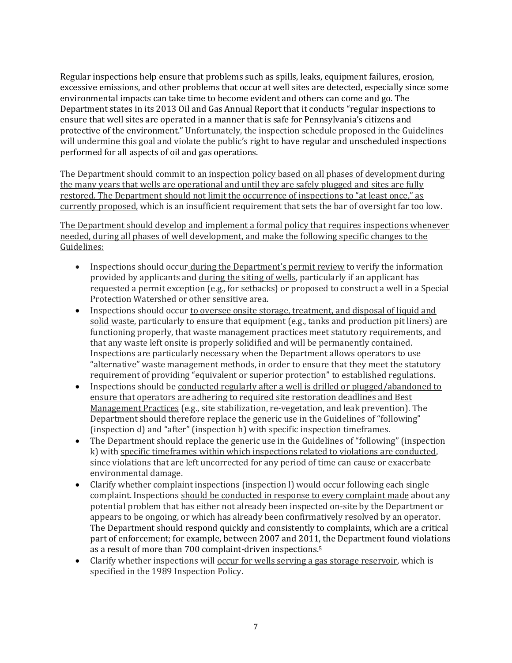Regular inspections help ensure that problems such as spills, leaks, equipment failures, erosion, excessive emissions, and other problems that occur at well sites are detected, especially since some environmental impacts can take time to become evident and others can come and go. The Department states in its 2013 Oil and Gas Annual Report that it conducts "regular inspections to ensure that well sites are operated in a manner that is safe for Pennsylvania's citizens and protective of the environment." Unfortunately, the inspection schedule proposed in the Guidelines will undermine this goal and violate the public's right to have regular and unscheduled inspections performed for all aspects of oil and gas operations.

The Department should commit to an inspection policy based on all phases of development during the many years that wells are operational and until they are safely plugged and sites are fully restored. The Department should not limit the occurrence of inspections to "at least once," as currently proposed, which is an insufficient requirement that sets the bar of oversight far too low.

The Department should develop and implement a formal policy that requires inspections whenever needed, during all phases of well development, and make the following specific changes to the Guidelines:

- Inspections should occur during the Department's permit review to verify the information provided by applicants and during the siting of wells, particularly if an applicant has requested a permit exception (e.g., for setbacks) or proposed to construct a well in a Special Protection Watershed or other sensitive area.
- Inspections should occur to oversee onsite storage, treatment, and disposal of liquid and solid waste, particularly to ensure that equipment (e.g., tanks and production pit liners) are functioning properly, that waste management practices meet statutory requirements, and that any waste left onsite is properly solidified and will be permanently contained. Inspections are particularly necessary when the Department allows operators to use "alternative" waste management methods, in order to ensure that they meet the statutory requirement of providing "equivalent or superior protection" to established regulations.
- Inspections should be conducted regularly after a well is drilled or plugged/abandoned to ensure that operators are adhering to required site restoration deadlines and Best Management Practices (e.g., site stabilization, re-vegetation, and leak prevention). The Department should therefore replace the generic use in the Guidelines of "following" (inspection d) and "after" (inspection h) with specific inspection timeframes.
- The Department should replace the generic use in the Guidelines of "following" (inspection k) with specific timeframes within which inspections related to violations are conducted, since violations that are left uncorrected for any period of time can cause or exacerbate environmental damage.
- Clarify whether complaint inspections (inspection l) would occur following each single complaint. Inspections should be conducted in response to every complaint made about any potential problem that has either not already been inspected on-site by the Department or appears to be ongoing, or which has already been confirmatively resolved by an operator. The Department should respond quickly and consistently to complaints, which are a critical part of enforcement; for example, between 2007 and 2011, the Department found violations as a result of more than 700 complaint-driven inspections.<sup>5</sup>
- Clarify whether inspections will occur for wells serving a gas storage reservoir, which is specified in the 1989 Inspection Policy.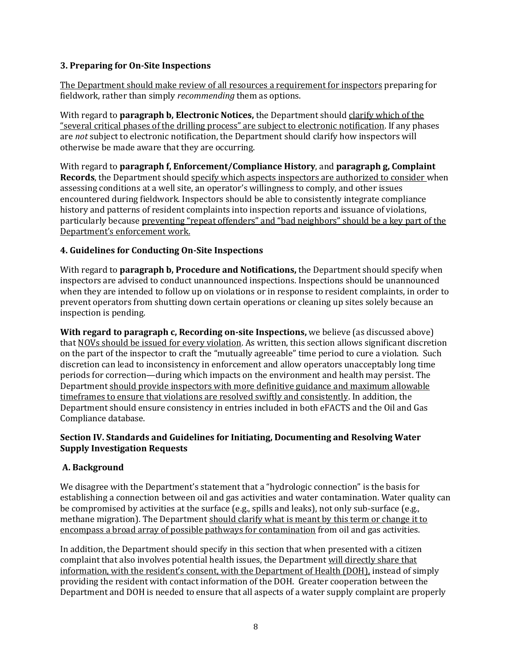### **3. Preparing for On-Site Inspections**

The Department should make review of all resources a requirement for inspectors preparing for fieldwork, rather than simply *recommending* them as options.

With regard to **paragraph b, Electronic Notices,** the Department should clarify which of the "several critical phases of the drilling process" are subject to electronic notification. If any phases are *not* subject to electronic notification, the Department should clarify how inspectors will otherwise be made aware that they are occurring.

With regard to **paragraph f, Enforcement/Compliance History**, and **paragraph g, Complaint Records**, the Department should specify which aspects inspectors are authorized to consider when assessing conditions at a well site, an operator's willingness to comply, and other issues encountered during fieldwork. Inspectors should be able to consistently integrate compliance history and patterns of resident complaints into inspection reports and issuance of violations, particularly because preventing "repeat offenders" and "bad neighbors" should be a key part of the Department's enforcement work.

### **4. Guidelines for Conducting On-Site Inspections**

With regard to **paragraph b, Procedure and Notifications,** the Department should specify when inspectors are advised to conduct unannounced inspections. Inspections should be unannounced when they are intended to follow up on violations or in response to resident complaints, in order to prevent operators from shutting down certain operations or cleaning up sites solely because an inspection is pending.

**With regard to paragraph c, Recording on-site Inspections,** we believe (as discussed above) that NOVs should be issued for every violation. As written, this section allows significant discretion on the part of the inspector to craft the "mutually agreeable" time period to cure a violation. Such discretion can lead to inconsistency in enforcement and allow operators unacceptably long time periods for correction—during which impacts on the environment and health may persist. The Department should provide inspectors with more definitive guidance and maximum allowable timeframes to ensure that violations are resolved swiftly and consistently. In addition, the Department should ensure consistency in entries included in both eFACTS and the Oil and Gas Compliance database.

#### **Section IV. Standards and Guidelines for Initiating, Documenting and Resolving Water Supply Investigation Requests**

#### **A. Background**

We disagree with the Department's statement that a "hydrologic connection" is the basis for establishing a connection between oil and gas activities and water contamination. Water quality can be compromised by activities at the surface (e.g., spills and leaks), not only sub-surface (e.g., methane migration). The Department should clarify what is meant by this term or change it to encompass a broad array of possible pathways for contamination from oil and gas activities.

In addition, the Department should specify in this section that when presented with a citizen complaint that also involves potential health issues, the Department will directly share that information, with the resident's consent, with the Department of Health (DOH), instead of simply providing the resident with contact information of the DOH. Greater cooperation between the Department and DOH is needed to ensure that all aspects of a water supply complaint are properly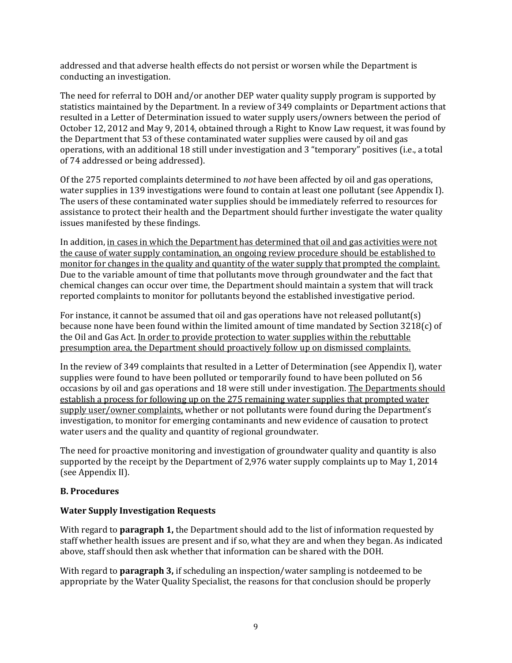addressed and that adverse health effects do not persist or worsen while the Department is conducting an investigation.

The need for referral to DOH and/or another DEP water quality supply program is supported by statistics maintained by the Department. In a review of 349 complaints or Department actions that resulted in a Letter of Determination issued to water supply users/owners between the period of October 12, 2012 and May 9, 2014, obtained through a Right to Know Law request, it was found by the Department that 53 of these contaminated water supplies were caused by oil and gas operations, with an additional 18 still under investigation and 3 "temporary" positives (i.e., a total of 74 addressed or being addressed).

Of the 275 reported complaints determined to *not* have been affected by oil and gas operations, water supplies in 139 investigations were found to contain at least one pollutant (see Appendix I). The users of these contaminated water supplies should be immediately referred to resources for assistance to protect their health and the Department should further investigate the water quality issues manifested by these findings.

In addition, in cases in which the Department has determined that oil and gas activities were not the cause of water supply contamination, an ongoing review procedure should be established to monitor for changes in the quality and quantity of the water supply that prompted the complaint. Due to the variable amount of time that pollutants move through groundwater and the fact that chemical changes can occur over time, the Department should maintain a system that will track reported complaints to monitor for pollutants beyond the established investigative period.

For instance, it cannot be assumed that oil and gas operations have not released pollutant(s) because none have been found within the limited amount of time mandated by Section 3218(c) of the Oil and Gas Act. In order to provide protection to water supplies within the rebuttable presumption area, the Department should proactively follow up on dismissed complaints.

In the review of 349 complaints that resulted in a Letter of Determination (see Appendix I), water supplies were found to have been polluted or temporarily found to have been polluted on 56 occasions by oil and gas operations and 18 were still under investigation. The Departments should establish a process for following up on the 275 remaining water supplies that prompted water supply user/owner complaints, whether or not pollutants were found during the Department's investigation, to monitor for emerging contaminants and new evidence of causation to protect water users and the quality and quantity of regional groundwater.

The need for proactive monitoring and investigation of groundwater quality and quantity is also supported by the receipt by the Department of 2,976 water supply complaints up to May 1, 2014 (see Appendix II).

#### **B. Procedures**

#### **Water Supply Investigation Requests**

With regard to **paragraph 1,** the Department should add to the list of information requested by staff whether health issues are present and if so, what they are and when they began. As indicated above, staff should then ask whether that information can be shared with the DOH.

With regard to **paragraph 3,** if scheduling an inspection/water sampling is notdeemed to be appropriate by the Water Quality Specialist, the reasons for that conclusion should be properly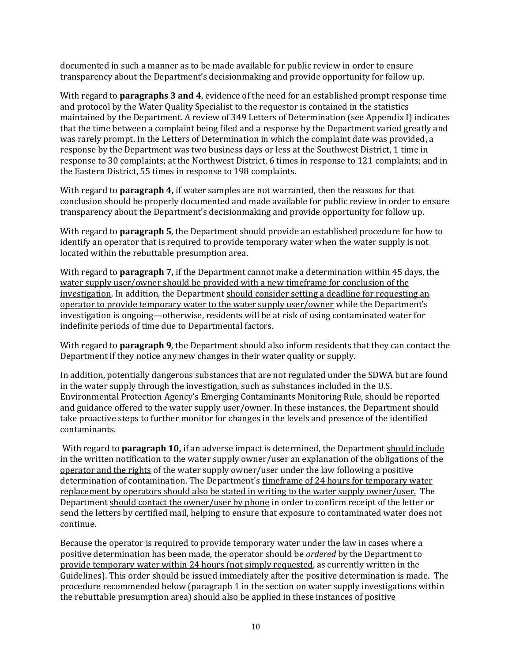documented in such a manner as to be made available for public review in order to ensure transparency about the Department's decisionmaking and provide opportunity for follow up.

With regard to **paragraphs 3 and 4**, evidence of the need for an established prompt response time and protocol by the Water Quality Specialist to the requestor is contained in the statistics maintained by the Department. A review of 349 Letters of Determination (see Appendix I) indicates that the time between a complaint being filed and a response by the Department varied greatly and was rarely prompt. In the Letters of Determination in which the complaint date was provided, a response by the Department was two business days or less at the Southwest District, 1 time in response to 30 complaints; at the Northwest District, 6 times in response to 121 complaints; and in the Eastern District, 55 times in response to 198 complaints.

With regard to **paragraph 4,** if water samples are not warranted, then the reasons for that conclusion should be properly documented and made available for public review in order to ensure transparency about the Department's decisionmaking and provide opportunity for follow up.

With regard to **paragraph 5**, the Department should provide an established procedure for how to identify an operator that is required to provide temporary water when the water supply is not located within the rebuttable presumption area.

With regard to **paragraph 7,** if the Department cannot make a determination within 45 days, the water supply user/owner should be provided with a new timeframe for conclusion of the investigation. In addition, the Department should consider setting a deadline for requesting an operator to provide temporary water to the water supply user/owner while the Department's investigation is ongoing—otherwise, residents will be at risk of using contaminated water for indefinite periods of time due to Departmental factors.

With regard to **paragraph 9**, the Department should also inform residents that they can contact the Department if they notice any new changes in their water quality or supply.

In addition, potentially dangerous substances that are not regulated under the SDWA but are found in the water supply through the investigation, such as substances included in the U.S. Environmental Protection Agency's Emerging Contaminants Monitoring Rule, should be reported and guidance offered to the water supply user/owner. In these instances, the Department should take proactive steps to further monitor for changes in the levels and presence of the identified contaminants.

With regard to **paragraph 10,** if an adverse impact is determined, the Department should include in the written notification to the water supply owner/user an explanation of the obligations of the operator and the rights of the water supply owner/user under the law following a positive determination of contamination. The Department's timeframe of 24 hours for temporary water replacement by operators should also be stated in writing to the water supply owner/user. The Department should contact the owner/user by phone in order to confirm receipt of the letter or send the letters by certified mail, helping to ensure that exposure to contaminated water does not continue.

Because the operator is required to provide temporary water under the law in cases where a positive determination has been made, the operator should be *ordered* by the Department to provide temporary water within 24 hours (not simply requested, as currently written in the Guidelines). This order should be issued immediately after the positive determination is made. The procedure recommended below (paragraph 1 in the section on water supply investigations within the rebuttable presumption area) should also be applied in these instances of positive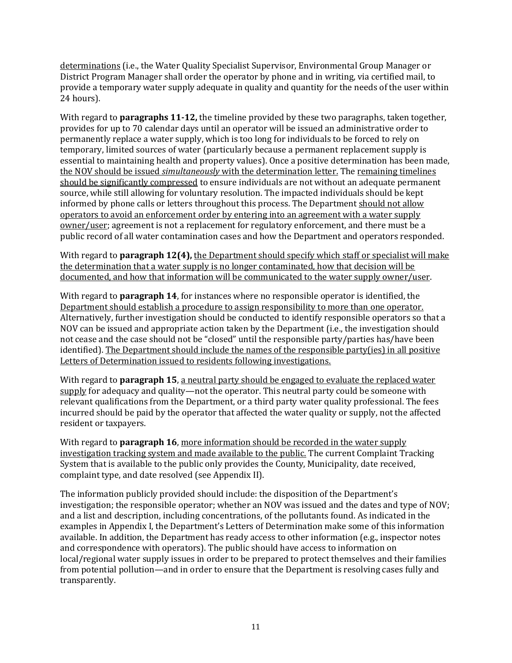determinations (i.e., the Water Quality Specialist Supervisor, Environmental Group Manager or District Program Manager shall order the operator by phone and in writing, via certified mail, to provide a temporary water supply adequate in quality and quantity for the needs of the user within 24 hours).

With regard to **paragraphs 11-12,** the timeline provided by these two paragraphs, taken together, provides for up to 70 calendar days until an operator will be issued an administrative order to permanently replace a water supply, which is too long for individuals to be forced to rely on temporary, limited sources of water (particularly because a permanent replacement supply is essential to maintaining health and property values). Once a positive determination has been made, the NOV should be issued *simultaneously* with the determination letter. The remaining timelines should be significantly compressed to ensure individuals are not without an adequate permanent source, while still allowing for voluntary resolution. The impacted individuals should be kept informed by phone calls or letters throughout this process. The Department should not allow operators to avoid an enforcement order by entering into an agreement with a water supply owner/user; agreement is not a replacement for regulatory enforcement, and there must be a public record of all water contamination cases and how the Department and operators responded.

With regard to **paragraph 12(4)**, the Department should specify which staff or specialist will make the determination that a water supply is no longer contaminated, how that decision will be documented, and how that information will be communicated to the water supply owner/user.

With regard to **paragraph 14**, for instances where no responsible operator is identified, the Department should establish a procedure to assign responsibility to more than one operator. Alternatively, further investigation should be conducted to identify responsible operators so that a NOV can be issued and appropriate action taken by the Department (i.e., the investigation should not cease and the case should not be "closed" until the responsible party/parties has/have been identified). The Department should include the names of the responsible party(ies) in all positive Letters of Determination issued to residents following investigations.

With regard to **paragraph 15**, a neutral party should be engaged to evaluate the replaced water supply for adequacy and quality—not the operator. This neutral party could be someone with relevant qualifications from the Department, or a third party water quality professional. The fees incurred should be paid by the operator that affected the water quality or supply, not the affected resident or taxpayers.

With regard to **paragraph 16**, more information should be recorded in the water supply investigation tracking system and made available to the public. The current Complaint Tracking System that is available to the public only provides the County, Municipality, date received, complaint type, and date resolved (see Appendix II).

The information publicly provided should include: the disposition of the Department's investigation; the responsible operator; whether an NOV was issued and the dates and type of NOV; and a list and description, including concentrations, of the pollutants found. As indicated in the examples in Appendix I, the Department's Letters of Determination make some of this information available. In addition, the Department has ready access to other information (e.g., inspector notes and correspondence with operators). The public should have access to information on local/regional water supply issues in order to be prepared to protect themselves and their families from potential pollution—and in order to ensure that the Department is resolving cases fully and transparently.